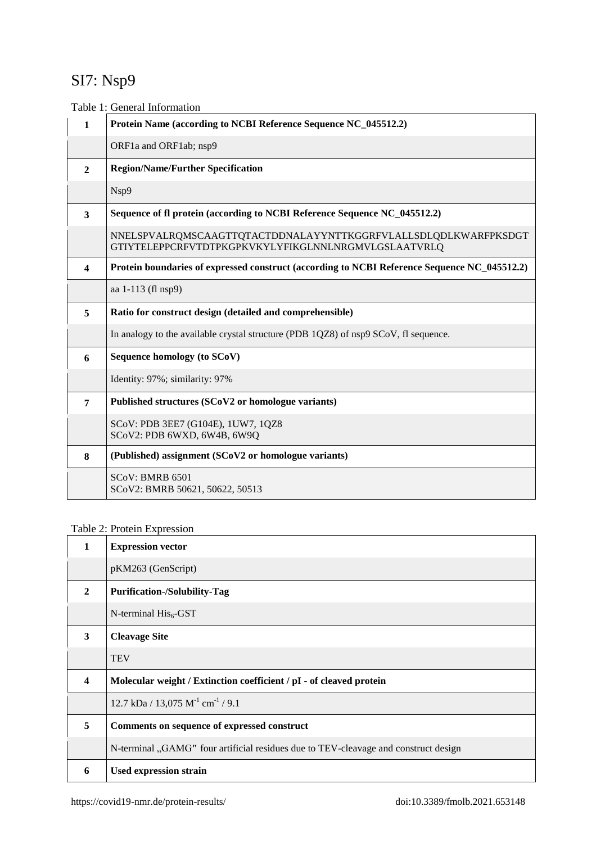# SI7: Nsp9

Table 1: General Information

| $\mathbf{1}$     | Protein Name (according to NCBI Reference Sequence NC_045512.2)                                                       |  |  |
|------------------|-----------------------------------------------------------------------------------------------------------------------|--|--|
|                  | ORF1a and ORF1ab; nsp9                                                                                                |  |  |
| $\overline{2}$   | <b>Region/Name/Further Specification</b>                                                                              |  |  |
|                  | Nsp9                                                                                                                  |  |  |
| 3                | Sequence of fl protein (according to NCBI Reference Sequence NC_045512.2)                                             |  |  |
|                  | NNELSPVALRQMSCAAGTTQTACTDDNALAYYNTTKGGRFVLALLSDLQDLKWARFPKSDGT<br>GTIYTELEPPCRFVTDTPKGPKVKYLYFIKGLNNLNRGMVLGSLAATVRLQ |  |  |
| $\boldsymbol{4}$ | Protein boundaries of expressed construct (according to NCBI Reference Sequence NC_045512.2)                          |  |  |
|                  | aa 1-113 (fl nsp9)                                                                                                    |  |  |
| 5                | Ratio for construct design (detailed and comprehensible)                                                              |  |  |
|                  | In analogy to the available crystal structure (PDB 1QZ8) of nsp9 SCoV, fl sequence.                                   |  |  |
| 6                | Sequence homology (to SCoV)                                                                                           |  |  |
|                  | Identity: 97%; similarity: 97%                                                                                        |  |  |
| $\overline{7}$   | Published structures (SCoV2 or homologue variants)                                                                    |  |  |
|                  | SCoV: PDB 3EE7 (G104E), 1UW7, 1QZ8<br>SCoV2: PDB 6WXD, 6W4B, 6W9Q                                                     |  |  |
| 8                | (Published) assignment (SCoV2 or homologue variants)                                                                  |  |  |
|                  | SCoV: BMRB 6501<br>SCoV2: BMRB 50621, 50622, 50513                                                                    |  |  |

## Table 2: Protein Expression

| 1                | <b>Expression vector</b>                                                            |  |  |
|------------------|-------------------------------------------------------------------------------------|--|--|
|                  | pKM263 (GenScript)                                                                  |  |  |
| $\mathbf{2}$     | <b>Purification-/Solubility-Tag</b>                                                 |  |  |
|                  | $N$ -terminal $His6$ -GST                                                           |  |  |
| 3                | <b>Cleavage Site</b>                                                                |  |  |
|                  | <b>TEV</b>                                                                          |  |  |
| $\boldsymbol{4}$ | Molecular weight / Extinction coefficient / pI - of cleaved protein                 |  |  |
|                  | $12.7 \text{ kDa} / 13,075 \text{ M}^{-1} \text{ cm}^{-1} / 9.1$                    |  |  |
| 5                | Comments on sequence of expressed construct                                         |  |  |
|                  | N-terminal "GAMG" four artificial residues due to TEV-cleavage and construct design |  |  |
| 6                | Used expression strain                                                              |  |  |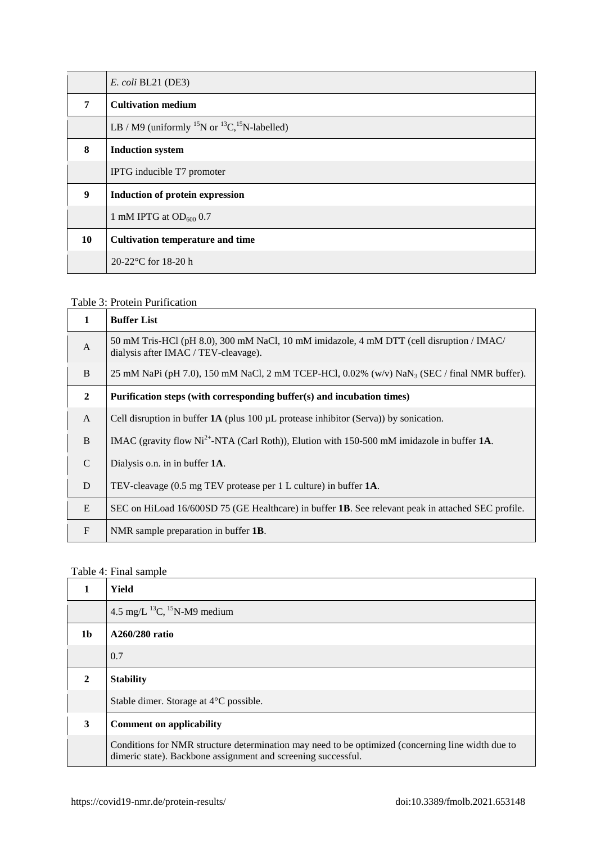|    | $E.$ coli BL21 (DE3)                                                             |  |  |
|----|----------------------------------------------------------------------------------|--|--|
| 7  | <b>Cultivation medium</b>                                                        |  |  |
|    | LB / M9 (uniformly <sup>15</sup> N or <sup>13</sup> C, <sup>15</sup> N-labelled) |  |  |
| 8  | <b>Induction system</b>                                                          |  |  |
|    | IPTG inducible T7 promoter                                                       |  |  |
| 9  | Induction of protein expression                                                  |  |  |
|    | 1 mM IPTG at $OD600 0.7$                                                         |  |  |
| 10 | <b>Cultivation temperature and time</b>                                          |  |  |
|    | 20-22 $\degree$ C for 18-20 h                                                    |  |  |

### Table 3: Protein Purification

|                | <b>Buffer List</b>                                                                                                               |  |
|----------------|----------------------------------------------------------------------------------------------------------------------------------|--|
| $\mathsf{A}$   | 50 mM Tris-HCl (pH 8.0), 300 mM NaCl, 10 mM imidazole, 4 mM DTT (cell disruption / IMAC/<br>dialysis after IMAC / TEV-cleavage). |  |
| B              | 25 mM NaPi (pH 7.0), 150 mM NaCl, 2 mM TCEP-HCl, 0.02% (w/v) NaN <sub>3</sub> (SEC / final NMR buffer).                          |  |
| $\overline{2}$ | Purification steps (with corresponding buffer(s) and incubation times)                                                           |  |
| $\mathbf{A}$   | Cell disruption in buffer $1\text{A}$ (plus 100 µL protease inhibitor (Serva)) by sonication.                                    |  |
| B              | IMAC (gravity flow Ni <sup>2+</sup> -NTA (Carl Roth)), Elution with 150-500 mM imidazole in buffer 1A.                           |  |
| C              | Dialysis o.n. in in buffer 1A.                                                                                                   |  |
| D              | TEV-cleavage (0.5 mg TEV protease per 1 L culture) in buffer <b>1A</b> .                                                         |  |
| E              | SEC on HiLoad 16/600SD 75 (GE Healthcare) in buffer <b>1B</b> . See relevant peak in attached SEC profile.                       |  |
| $\mathbf{F}$   | NMR sample preparation in buffer <b>1B</b> .                                                                                     |  |

## Table 4: Final sample

|              | Yield                                                                                                                                                              |  |
|--------------|--------------------------------------------------------------------------------------------------------------------------------------------------------------------|--|
|              | 4.5 mg/L $^{13}C$ , $^{15}N-M9$ medium                                                                                                                             |  |
| 1b           | A260/280 ratio                                                                                                                                                     |  |
|              | 0.7                                                                                                                                                                |  |
| $\mathbf{2}$ | <b>Stability</b>                                                                                                                                                   |  |
|              | Stable dimer. Storage at $4^{\circ}$ C possible.                                                                                                                   |  |
| 3            | <b>Comment on applicability</b>                                                                                                                                    |  |
|              | Conditions for NMR structure determination may need to be optimized (concerning line width due to<br>dimeric state). Backbone assignment and screening successful. |  |